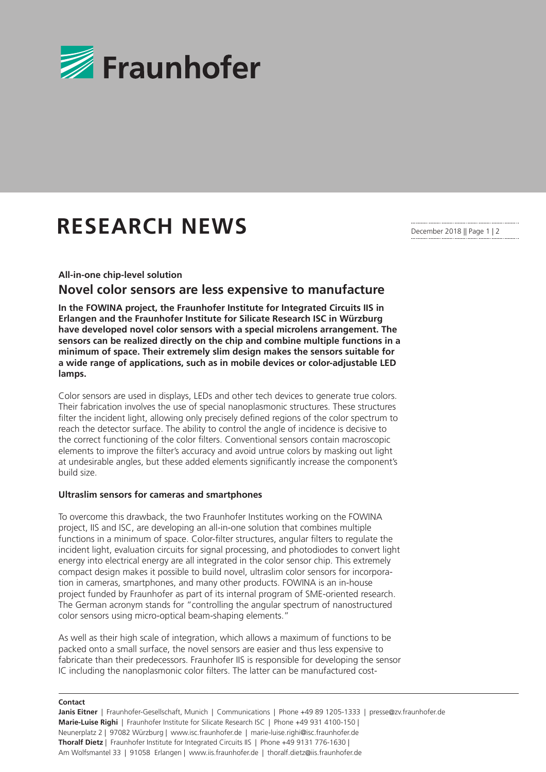

# **RESEARCH NEWS**

December 2018 || Page 1 | 2

**All-in-one chip-level solution**

## **Novel color sensors are less expensive to manufacture**

**In the FOWINA project, the Fraunhofer Institute for Integrated Circuits IIS in Erlangen and the Fraunhofer Institute for Silicate Research ISC in Würzburg have developed novel color sensors with a special microlens arrangement. The sensors can be realized directly on the chip and combine multiple functions in a minimum of space. Their extremely slim design makes the sensors suitable for a wide range of applications, such as in mobile devices or color-adjustable LED lamps.**

Color sensors are used in displays, LEDs and other tech devices to generate true colors. Their fabrication involves the use of special nanoplasmonic structures. These structures filter the incident light, allowing only precisely defined regions of the color spectrum to reach the detector surface. The ability to control the angle of incidence is decisive to the correct functioning of the color filters. Conventional sensors contain macroscopic elements to improve the filter's accuracy and avoid untrue colors by masking out light at undesirable angles, but these added elements significantly increase the component's build size.

#### **Ultraslim sensors for cameras and smartphones**

To overcome this drawback, the two Fraunhofer Institutes working on the FOWINA project, IIS and ISC, are developing an all-in-one solution that combines multiple functions in a minimum of space. Color-filter structures, angular filters to regulate the incident light, evaluation circuits for signal processing, and photodiodes to convert light energy into electrical energy are all integrated in the color sensor chip. This extremely compact design makes it possible to build novel, ultraslim color sensors for incorporation in cameras, smartphones, and many other products. FOWINA is an in-house project funded by Fraunhofer as part of its internal program of SME-oriented research. The German acronym stands for "controlling the angular spectrum of nanostructured color sensors using micro-optical beam-shaping elements."

As well as their high scale of integration, which allows a maximum of functions to be packed onto a small surface, the novel sensors are easier and thus less expensive to fabricate than their predecessors. Fraunhofer IIS is responsible for developing the sensor IC including the nanoplasmonic color filters. The latter can be manufactured cost-

#### **Contact**

**Janis Eitner** | Fraunhofer-Gesellschaft, Munich | Communications | Phone +49 89 1205-1333 | presse@zv.fraunhofer.de **Marie-Luise Righi** | Fraunhofer Institute for Silicate Research ISC | Phone +49 931 4100-150 | Neunerplatz 2 | 97082 Würzburg | www.isc.fraunhofer.de | marie-luise.righi@isc.fraunhofer.de **Thoralf Dietz** | Fraunhofer Institute for Integrated Circuits IIS | Phone +49 9131 776-1630 | Am Wolfsmantel 33 | 91058 Erlangen | www.iis.fraunhofer.de | thoralf.dietz@iis.fraunhofer.de